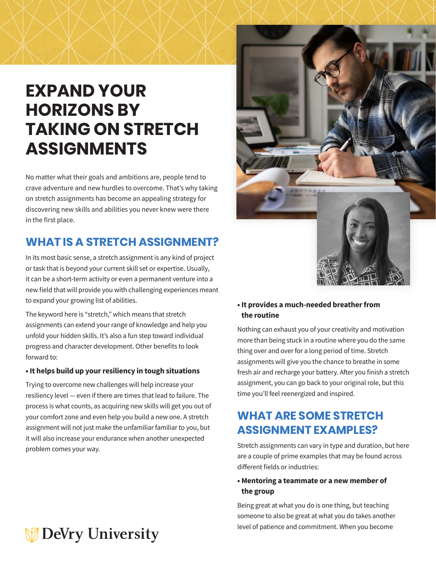## **EXPAND YOUR HORIZONS BY TAKING ON STRETCH [A](https://www.uky.edu/~eushe2/Pajares/OnFailingG.html )SSIGNMENTS**

No matter what their goals and ambitions are, people tend to crave adventure and new hurdles to overcome. That's why taking on stretch assignments has become an appealing strategy for discovering new skills and abilities you never knew were there in the first place.

## **WHAT IS A STRETCH ASSIGNMENT?**

In its most basic sense, a stretch assignment is any kind of project or task that is beyond your current skill set or expertise. Usually, it can be a short-term activity or even a permanent venture into a new field that will provide you with challenging experiences meant to expand your growing list of abilities.

The keyword here is "stretch," which means that stretch assignments can extend your range of knowledge and help you unfold your hidden skills. It's also a fun step toward individual progress and character development. Other benefits to look forward to:

#### **• It helps build up your resiliency in tough situations**

Trying to overcome new challenges will help increase your resiliency level — even if there are times that lead to failure. The process is what counts, as acquiring new skills will get you out of your comfort zone and even help you build a new one. A stretch assignment will not just make the unfamiliar familiar to you, but it will also increase your endurance when another unexpected problem comes your way.

# **DeVry University**



#### **• It provides a much-needed breather from the routine**

Nothing can exhaust you of your creativity and motivation more than being stuck in a routine where you do the same thing over and over for a long period of time. Stretch assignments will give you the chance to breathe in some fresh air and recharge your battery. After you finish a stretch assignment, you can go back to your original role, but this time you'll feel reenergized and inspired.

## **WHAT ARE SOME STRETCH ASSIGNMENT EXAMPLES?**

Stretch assignments can vary in type and duration, but here are a couple of prime examples that may be found across different fields or industries:

#### **• Mentoring a teammate or a new member of the group**

Being great at what you do is one thing, but teaching someone to also be great at what you do takes another level of patience and commitment. When you become